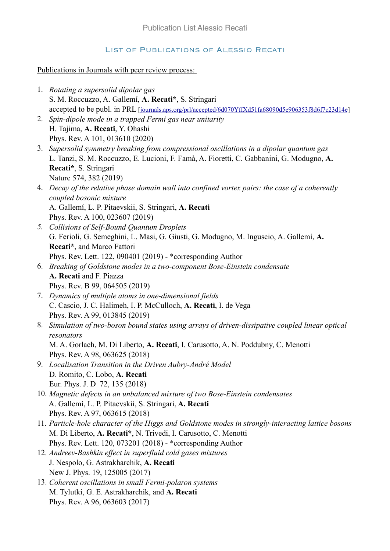#### List of Publications of Alessio Recati

### Publications in Journals with peer review process:

- 1. *Rotating a supersolid dipolar gas*  S. M. Roccuzzo, A. Gallemí, **A. Recati\***, S. Stringari accepted to be publ. in PRL [\[journals.aps.org/prl/accepted/6d070YffXd51fa68090d5e906353f8d6f7c23d14e\]](http://journals.aps.org/prl/accepted/6d070YffXd51fa68090d5e906353f8d6f7c23d14e)
- 2. *Spin-dipole mode in a trapped Fermi gas near unitarity* H. Tajima, **A. Recati**, Y. Ohashi Phys. Rev. A 101, 013610 (2020)
- 3. *Supersolid symmetry breaking from compressional oscillations in a dipolar quantum gas*  L. Tanzi, S. M. Roccuzzo, E. Lucioni, F. Famà, A. Fioretti, C. Gabbanini, G. Modugno, **A. Recati\***, S. Stringari Nature 574, 382 (2019)
- 4. *Decay of the relative phase domain wall into confined vortex pairs: the case of a coherently coupled bosonic mixture* A. Gallemí, L. P. Pitaevskii, S. Stringari, **A. Recati** Phys. Rev. A 100, 023607 (2019)
- *5. Collisions of Self-Bound Quantum Droplets*  G. Ferioli, G. Semeghini, L. Masi, G. Giusti, G. Modugno, M. Inguscio, A. Gallemí, **A. Recati\***, and Marco Fattori Phys. Rev. Lett. 122, 090401 (2019) - \*corresponding Author
- 6. *Breaking of Goldstone modes in a two-component Bose-Einstein condensate*  **A. Recati** and F. Piazza Phys. Rev. B 99, 064505 (2019)
- 7. *Dynamics of multiple atoms in one-dimensional fields*  C. Cascio, J. C. Halimeh, I. P. McCulloch, **A. Recati**, I. de Vega Phys. Rev. A 99, 013845 (2019)
- 8. *Simulation of two-boson bound states using arrays of driven-dissipative coupled linear optical resonators* 
	- M. A. Gorlach, M. Di Liberto, **A. Recati**, I. Carusotto, A. N. Poddubny, C. Menotti Phys. Rev. A 98, 063625 (2018)
- 9. *Localisation Transition in the Driven Aubry-André Model*  D. Romito, C. Lobo, **A. Recati**  Eur. Phys. J. D 72, 135 (2018)
- 10. *Magnetic defects in an unbalanced mixture of two Bose-Einstein condensates* A. Gallemí, L. P. Pitaevskii, S. Stringari, **A. Recati** Phys. Rev. A 97, 063615 (2018)
- 11. *Particle-hole character of the Higgs and Goldstone modes in strongly-interacting lattice bosons*  M. Di Liberto, **A. Recati\***, N. Trivedi, I. Carusotto, C. Menotti Phys. Rev. Lett. 120, 073201 (2018) - \*corresponding Author
- 12. *Andreev-Bashkin effect in superfluid cold gases mixtures*  J. Nespolo, G. Astrakharchik, **A. Recati** New J. Phys. 19, 125005 (2017)
- 13. *Coherent oscillations in small Fermi-polaron systems*  M. Tylutki, G. E. Astrakharchik, and **A. Recati**  Phys. Rev. A 96, 063603 (2017)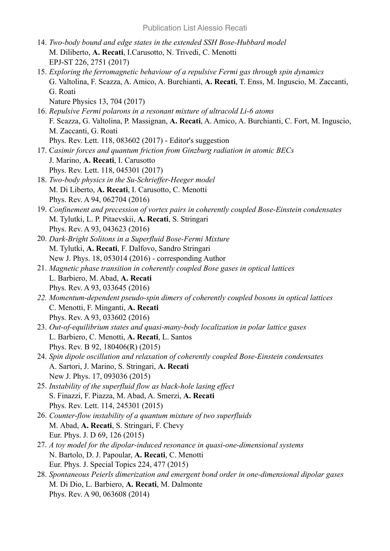- 14. *Two-body bound and edge states in the extended SSH Bose-Hubbard model* M. Diliberto, **A. Recati**, I.Carusotto, N. Trivedi, C. Menotti EPJ-ST 226, 2751 (2017)
- 15. *Exploring the ferromagnetic behaviour of a repulsive Fermi gas through spin dynamics*  G. Valtolina, F. Scazza, A. Amico, A. Burchianti, **A. Recati**, T. Enss, M. Inguscio, M. Zaccanti, G. Roati

Nature Physics 13, 704 (2017)

- 16. *Repulsive Fermi polarons in a resonant mixture of ultracold Li-6 atoms*  F. Scazza, G. Valtolina, P. Massignan, **A. Recati**, A. Amico, A. Burchianti, C. Fort, M. Inguscio, M. Zaccanti, G. Roati Phys. Rev. Lett. 118, 083602 (2017) - Editor's suggestion
- 17. C*asimir forces and quantum friction from Ginzburg radiation in atomic BECs*  J. Marino, **A. Recati**, I. Carusotto Phys. Rev. Lett. 118, 045301 (2017)
- 18. *Two-body physics in the Su-Schrieffer-Heeger model*  M. Di Liberto, **A. Recati**, I. Carusotto, C. Menotti Phys. Rev. A 94, 062704 (2016)
- 19. *Confinement and precession of vortex pairs in coherently coupled Bose-Einstein condensates* M. Tylutki, L. P. Pitaevskii, **A. Recati**, S. Stringari Phys. Rev. A 93, 043623 (2016)
- 20. *Dark-Bright Solitons in a Superfluid Bose-Fermi Mixture* M. Tylutki, **A. Recati**, F. Dalfovo, Sandro Stringari New J. Phys. 18, 053014 (2016) - corresponding Author
- 21. *Magnetic phase transition in coherently coupled Bose gases in optical lattices*  L. Barbiero, M. Abad, **A. Recati** Phys. Rev. A 93, 033645 (2016)
- *22. Momentum-dependent pseudo-spin dimers of coherently coupled bosons in optical lattices* C. Menotti, F. Minganti, **A. Recati** Phys. Rev. A 93, 033602 (2016)
- 23. *Out-of-equilibrium states and quasi-many-body localization in polar lattice gases*  L. Barbiero, C. Menotti, **A. Recati**, L. Santos Phys. Rev. B 92, 180406(R) (2015)
- 24. *Spin dipole oscillation and relaxation of coherently coupled Bose-Einstein condensates*  A. Sartori, J. Marino, S. Stringari, **A. Recati**  New J. Phys. 17, 093036 (2015)
- 25. *Instability of the superfluid flow as black-hole lasing effect*  S. Finazzi, F. Piazza, M. Abad, A. Smerzi, **A. Recati**  Phys. Rev. Lett. 114, 245301 (2015)
- 26. *Counter-flow instability of a quantum mixture of two superfluids*  M. Abad, **A. Recati**, S. Stringari, F. Chevy Eur. Phys. J. D 69, 126 (2015)
- 27. *A toy model for the dipolar-induced resonance in quasi-one-dimensional systems*  N. Bartolo, D. J. Papoular, **A. Recati**, C. Menotti Eur. Phys. J. Special Topics 224, 477 (2015)
- 28. *Spontaneous Peierls dimerization and emergent bond order in one-dimensional dipolar gases*  M. Di Dio, L. Barbiero, **A. Recati**, M. Dalmonte Phys. Rev. A 90, 063608 (2014)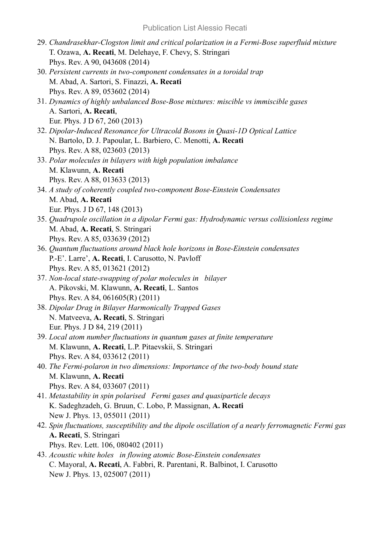- 29. *Chandrasekhar-Clogston limit and critical polarization in a Fermi-Bose superfluid mixture*  T. Ozawa, **A. Recati**, M. Delehaye, F. Chevy, S. Stringari Phys. Rev. A 90, 043608 (2014)
- 30. *Persistent currents in two-component condensates in a toroidal trap*  M. Abad, A. Sartori, S. Finazzi, **A. Recati** Phys. Rev. A 89, 053602 (2014)
- 31. *Dynamics of highly unbalanced Bose-Bose mixtures: miscible vs immiscible gases*  A. Sartori, **A. Recati**, Eur. Phys. J D 67, 260 (2013)
- 32. *Dipolar-Induced Resonance for Ultracold Bosons in Quasi-1D Optical Lattice*  N. Bartolo, D. J. Papoular, L. Barbiero, C. Menotti, **A. Recati** Phys. Rev. A 88, 023603 (2013)
- 33. *Polar molecules in bilayers with high population imbalance*  M. Klawunn, **A. Recati** Phys. Rev. A 88, 013633 (2013)
- 34. *A study of coherently coupled two-component Bose-Einstein Condensates* M. Abad, **A. Recati** Eur. Phys. J D 67, 148 (2013)
- 35. *Quadrupole oscillation in a dipolar Fermi gas: Hydrodynamic versus collisionless regime*  M. Abad, **A. Recati**, S. Stringari Phys. Rev. A 85, 033639 (2012)
- 36. *Quantum fluctuations around black hole horizons in Bose-Einstein condensates*  P.-E'. Larre', **A. Recati**, I. Carusotto, N. Pavloff Phys. Rev. A 85, 013621 (2012)
- 37. *Non-local state-swapping of polar molecules in bilayer*  A. Pikovski, M. Klawunn, **A. Recati**, L. Santos Phys. Rev. A 84, 061605(R) (2011)
- 38. *Dipolar Drag in Bilayer Harmonically Trapped Gases*  N. Matveeva, **A. Recati**, S. Stringari Eur. Phys. J D 84, 219 (2011)
- 39. *Local atom number fluctuations in quantum gases at finite temperature*  M. Klawunn, **A. Recati**, L.P. Pitaevskii, S. Stringari Phys. Rev. A 84, 033612 (2011)
- 40. *The Fermi-polaron in two dimensions: Importance of the two-body bound state*  M. Klawunn, **A. Recati** Phys. Rev. A 84, 033607 (2011)
- 41. *Metastability in spin polarised Fermi gases and quasiparticle decays*  K. Sadeghzadeh, G. Bruun, C. Lobo, P. Massignan, **A. Recati**  New J. Phys. 13, 055011 (2011)
- 42. *Spin fluctuations, susceptibility and the dipole oscillation of a nearly ferromagnetic Fermi gas*  **A. Recati**, S. Stringari Phys. Rev. Lett. 106, 080402 (2011)
- 43. *Acoustic white holes in flowing atomic Bose-Einstein condensates*  C. Mayoral, **A. Recati**, A. Fabbri, R. Parentani, R. Balbinot, I. Carusotto New J. Phys. 13, 025007 (2011)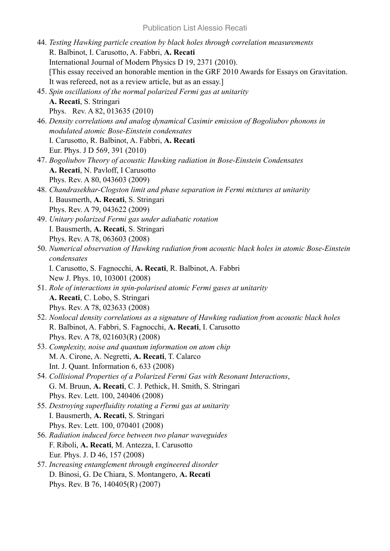44. *Testing Hawking particle creation by black holes through correlation measurements*  R. Balbinot, I. Carusotto, A. Fabbri, **A. Recati**  International Journal of Modern Physics D 19, 2371 (2010). [This essay received an honorable mention in the GRF 2010 Awards for Essays on Gravitation. It was refereed, not as a review article, but as an essay.] 45. *Spin oscillations of the normal polarized Fermi gas at unitarity*  **A. Recati**, S. Stringari Phys. Rev. A 82, 013635 (2010) 46. *Density correlations and analog dynamical Casimir emission of Bogoliubov phonons in modulated atomic Bose-Einstein condensates*  I. Carusotto, R. Balbinot, A. Fabbri, **A. Recati**  Eur. Phys. J D 569, 391 (2010) 47. *Bogoliubov Theory of acoustic Hawking radiation in Bose-Einstein Condensates* **A. Recati**, N. Pavloff, I Carusotto Phys. Rev. A 80, 043603 (2009) 48. *Chandrasekhar-Clogston limit and phase separation in Fermi mixtures at unitarity*  I. Bausmerth, **A. Recati**, S. Stringari Phys. Rev. A 79, 043622 (2009) 49. *Unitary polarized Fermi gas under adiabatic rotation*  I. Bausmerth, **A. Recati**, S. Stringari Phys. Rev. A 78, 063603 (2008) 50. *Numerical observation of Hawking radiation from acoustic black holes in atomic Bose-Einstein condensates* I. Carusotto, S. Fagnocchi, **A. Recati**, R. Balbinot, A. Fabbri New J. Phys. 10, 103001 (2008) 51. *Role of interactions in spin-polarised atomic Fermi gases at unitarity*  **A. Recati**, C. Lobo, S. Stringari Phys. Rev. A 78, 023633 (2008) 52. *Nonlocal density correlations as a signature of Hawking radiation from acoustic black holes*  R. Balbinot, A. Fabbri, S. Fagnocchi, **A. Recati**, I. Carusotto Phys. Rev. A 78, 021603(R) (2008) 53. *Complexity, noise and quantum information on atom chip*  M. A. Cirone, A. Negretti, **A. Recati**, T. Calarco Int. J. Quant. Information 6, 633 (2008) 54. *Collisional Properties of a Polarized Fermi Gas with Resonant Interactions*, G. M. Bruun, **A. Recati**, C. J. Pethick, H. Smith, S. Stringari Phys. Rev. Lett. 100, 240406 (2008) 55. *Destroying superfluidity rotating a Fermi gas at unitarity* I. Bausmerth, **A. Recati**, S. Stringari Phys. Rev. Lett. 100, 070401 (2008) 56. *Radiation induced force between two planar waveguides* F. Riboli, **A. Recati**, M. Antezza, I. Carusotto Eur. Phys. J. D 46, 157 (2008) 57. *Increasing entanglement through engineered disorder*  D. Binosi, G. De Chiara, S. Montangero, **A. Recati** Phys. Rev. B 76, 140405(R) (2007)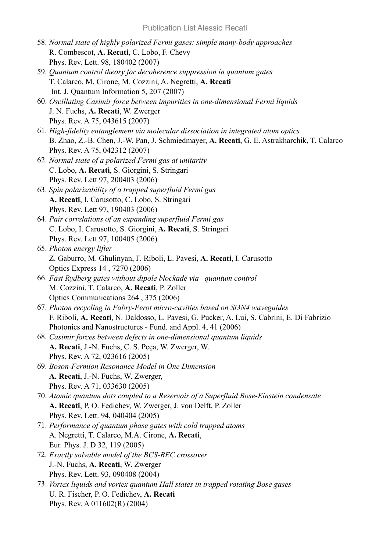- 58. *Normal state of highly polarized Fermi gases: simple many-body approaches*  R. Combescot, **A. Recati**, C. Lobo, F. Chevy Phys. Rev. Lett. 98, 180402 (2007)
- 59. *Quantum control theory for decoherence suppression in quantum gates* T. Calarco, M. Cirone, M. Cozzini, A. Negretti, **A. Recati** Int. J. Quantum Information 5, 207 (2007)
- 60. *Oscillating Casimir force between impurities in one-dimensional Fermi liquids* J. N. Fuchs, **A. Recati**, W. Zwerger Phys. Rev. A 75, 043615 (2007)
- 61. *High-fidelity entanglement via molecular dissociation in integrated atom optics*  B. Zhao, Z.-B. Chen, J.-W. Pan, J. Schmiedmayer, **A. Recati**, G. E. Astrakharchik, T. Calarco Phys. Rev. A 75, 042312 (2007)
- 62. *Normal state of a polarized Fermi gas at unitarity*  C. Lobo, **A. Recati**, S. Giorgini, S. Stringari Phys. Rev. Lett 97, 200403 (2006)
- 63. *Spin polarizability of a trapped superfluid Fermi gas* **A. Recati**, I. Carusotto, C. Lobo, S. Stringari Phys. Rev. Lett 97, 190403 (2006)
- 64. *Pair correlations of an expanding superfluid Fermi gas* C. Lobo, I. Carusotto, S. Giorgini, **A. Recati**, S. Stringari Phys. Rev. Lett 97, 100405 (2006)
- 65. *Photon energy lifter* Z. Gaburro, M. Ghulinyan, F. Riboli, L. Pavesi, **A. Recati**, I. Carusotto Optics Express 14 , 7270 (2006)
- 66. *Fast Rydberg gates without dipole blockade via quantum control* M. Cozzini, T. Calarco, **A. Recati**, P. Zoller Optics Communications 264 , 375 (2006)
- 67. *Photon recycling in Fabry-Perot micro-cavities based on Si3N4 waveguides* F. Riboli, **A. Recati**, N. Daldosso, L. Pavesi, G. Pucker, A. Lui, S. Cabrini, E. Di Fabrizio Photonics and Nanostructures - Fund. and Appl. 4, 41 (2006)
- 68. *Casimir forces between defects in one-dimensional quantum liquids* **A. Recati**, J.-N. Fuchs, C. S. Peça, W. Zwerger, W. Phys. Rev. A 72, 023616 (2005)
- 69. *Boson-Fermion Resonance Model in One Dimension* **A. Recati**, J.-N. Fuchs, W. Zwerger, Phys. Rev. A 71, 033630 (2005)
- 70. *Atomic quantum dots coupled to a Reservoir of a Superfluid Bose-Einstein condensate*  **A. Recati**, P. O. Fedichev, W. Zwerger, J. von Delft, P. Zoller Phys. Rev. Lett. 94, 040404 (2005)
- 71. *Performance of quantum phase gates with cold trapped atoms* A. Negretti, T. Calarco, M.A. Cirone, **A. Recati**, Eur. Phys. J. D 32, 119 (2005)
- 72. *Exactly solvable model of the BCS-BEC crossover*  J.-N. Fuchs, **A. Recati**, W. Zwerger Phys. Rev. Lett. 93, 090408 (2004)
- 73. *Vortex liquids and vortex quantum Hall states in trapped rotating Bose gases* U. R. Fischer, P. O. Fedichev, **A. Recati** Phys. Rev. A 011602(R) (2004)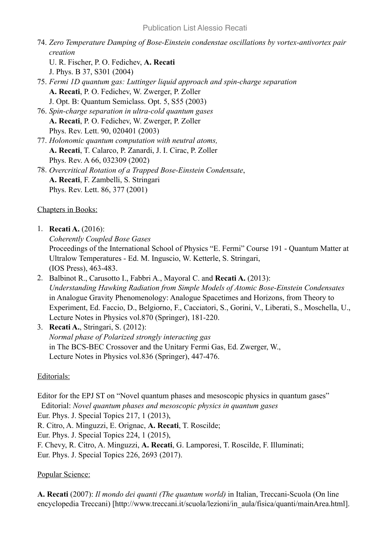- 74. *Zero Temperature Damping of Bose-Einstein condenstae oscillations by vortex-antivortex pair creation*
	- U. R. Fischer, P. O. Fedichev, **A. Recati** J. Phys. B 37, S301 (2004)
- 75. *Fermi 1D quantum gas: Luttinger liquid approach and spin-charge separation* **A. Recati**, P. O. Fedichev, W. Zwerger, P. Zoller J. Opt. B: Quantum Semiclass. Opt. 5, S55 (2003)
- 76. *Spin-charge separation in ultra-cold quantum gases* **A. Recati**, P. O. Fedichev, W. Zwerger, P. Zoller Phys. Rev. Lett. 90, 020401 (2003)
- 77. *Holonomic quantum computation with neutral atoms,*  **A. Recati**, T. Calarco, P. Zanardi, J. I. Cirac, P. Zoller Phys. Rev. A 66, 032309 (2002)
- 78. *Overcritical Rotation of a Trapped Bose-Einstein Condensate*, **A. Recati**, F. Zambelli, S. Stringari Phys. Rev. Lett. 86, 377 (2001)

## Chapters in Books:

- 1. **Recati A.** (2016): *Coherently Coupled Bose Gases*  Proceedings of the International School of Physics "E. Fermi" Course 191 - Quantum Matter at Ultralow Temperatures - Ed. M. Inguscio, W. Ketterle, S. Stringari, (IOS Press), 463-483.
- 2. Balbinot R., Carusotto I., Fabbri A., Mayoral C. and **Recati A.** (2013): *Understanding Hawking Radiation from Simple Models of Atomic Bose-Einstein Condensates* in Analogue Gravity Phenomenology: Analogue Spacetimes and Horizons, from Theory to Experiment, Ed. Faccio, D., Belgiorno, F., Cacciatori, S., Gorini, V., Liberati, S., Moschella, U., Lecture Notes in Physics vol.870 (Springer), 181-220.
- 3. **Recati A.**, Stringari, S. (2012): *Normal phase of Polarized strongly interacting gas* in The BCS-BEC Crossover and the Unitary Fermi Gas, Ed. Zwerger, W., Lecture Notes in Physics vol.836 (Springer), 447-476.

# Editorials:

Editor for the EPJ ST on "Novel quantum phases and mesoscopic physics in quantum gases" Editorial: *Novel quantum phases and mesoscopic physics in quantum gases* Eur. Phys. J. Special Topics 217, 1 (2013), R. Citro, A. Minguzzi, E. Orignac, **A. Recati**, T. Roscilde; Eur. Phys. J. Special Topics 224, 1 (2015), F. Chevy, R. Citro, A. Minguzzi, **A. Recati**, G. Lamporesi, T. Roscilde, F. Illuminati; Eur. Phys. J. Special Topics 226, 2693 (2017).

# Popular Science:

**A. Recati** (2007): *Il mondo dei quanti (The quantum world)* in Italian, Treccani-Scuola (On line encyclopedia Treccani) [http://www.treccani.it/scuola/lezioni/in\_aula/fisica/quanti/mainArea.html].